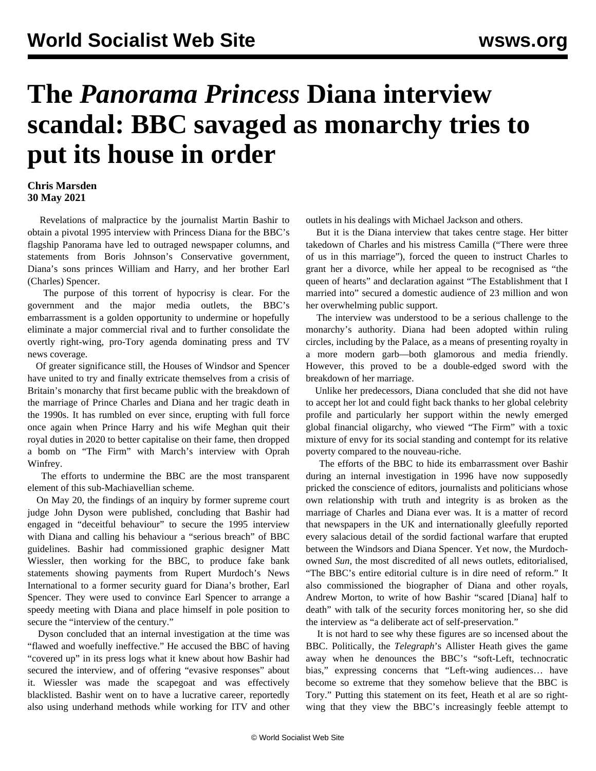## **The** *Panorama Princess* **Diana interview scandal: BBC savaged as monarchy tries to put its house in order**

## **Chris Marsden 30 May 2021**

 Revelations of malpractice by the journalist Martin Bashir to obtain a pivotal 1995 interview with Princess Diana for the BBC's flagship Panorama have led to outraged newspaper columns, and statements from Boris Johnson's Conservative government, Diana's sons princes William and Harry, and her brother Earl (Charles) Spencer.

 The purpose of this torrent of hypocrisy is clear. For the government and the major media outlets, the BBC's embarrassment is a golden opportunity to undermine or hopefully eliminate a major commercial rival and to further consolidate the overtly right-wing, pro-Tory agenda dominating press and TV news coverage.

 Of greater significance still, the Houses of Windsor and Spencer have united to try and finally extricate themselves from a crisis of Britain's monarchy that first became public with the breakdown of the marriage of Prince Charles and Diana and her tragic death in the 1990s. It has rumbled on ever since, erupting with full force once again when Prince Harry and his wife Meghan quit their royal duties in 2020 to better capitalise on their fame, then dropped a bomb on "The Firm" with March's interview with Oprah Winfrey.

 The efforts to undermine the BBC are the most transparent element of this sub-Machiavellian scheme.

 On May 20, the findings of an inquiry by former supreme court judge John Dyson were published, concluding that Bashir had engaged in "deceitful behaviour" to secure the 1995 interview with Diana and calling his behaviour a "serious breach" of BBC guidelines. Bashir had commissioned graphic designer Matt Wiessler, then working for the BBC, to produce fake bank statements showing payments from Rupert Murdoch's News International to a former security guard for Diana's brother, Earl Spencer. They were used to convince Earl Spencer to arrange a speedy meeting with Diana and place himself in pole position to secure the "interview of the century."

 Dyson concluded that an internal investigation at the time was "flawed and woefully ineffective." He accused the BBC of having "covered up" in its press logs what it knew about how Bashir had secured the interview, and of offering "evasive responses" about it. Wiessler was made the scapegoat and was effectively blacklisted. Bashir went on to have a lucrative career, reportedly also using underhand methods while working for ITV and other

outlets in his dealings with Michael Jackson and others.

 But it is the Diana interview that takes centre stage. Her bitter takedown of Charles and his mistress Camilla ("There were three of us in this marriage"), forced the queen to instruct Charles to grant her a divorce, while her appeal to be recognised as "the queen of hearts" and declaration against "The Establishment that I married into" secured a domestic audience of 23 million and won her overwhelming public support.

 The interview was understood to be a serious challenge to the monarchy's authority. Diana had been adopted within ruling circles, including by the Palace, as a means of presenting royalty in a more modern garb—both glamorous and media friendly. However, this proved to be a double-edged sword with the breakdown of her marriage.

 Unlike her predecessors, Diana concluded that she did not have to accept her lot and could fight back thanks to her global celebrity profile and particularly her support within the newly emerged global financial oligarchy, who viewed "The Firm" with a toxic mixture of envy for its social standing and contempt for its relative poverty compared to the nouveau-riche.

 The efforts of the BBC to hide its embarrassment over Bashir during an internal investigation in 1996 have now supposedly pricked the conscience of editors, journalists and politicians whose own relationship with truth and integrity is as broken as the marriage of Charles and Diana ever was. It is a matter of record that newspapers in the UK and internationally gleefully reported every salacious detail of the sordid factional warfare that erupted between the Windsors and Diana Spencer. Yet now, the Murdochowned *Sun,* the most discredited of all news outlets, editorialised, "The BBC's entire editorial culture is in dire need of reform." It also commissioned the biographer of Diana and other royals, Andrew Morton, to write of how Bashir "scared [Diana] half to death" with talk of the security forces monitoring her, so she did the interview as "a deliberate act of self-preservation."

 It is not hard to see why these figures are so incensed about the BBC. Politically, the *Telegraph*'s Allister Heath gives the game away when he denounces the BBC's "soft-Left, technocratic bias," expressing concerns that "Left-wing audiences… have become so extreme that they somehow believe that the BBC is Tory." Putting this statement on its feet, Heath et al are so rightwing that they view the BBC's increasingly feeble attempt to